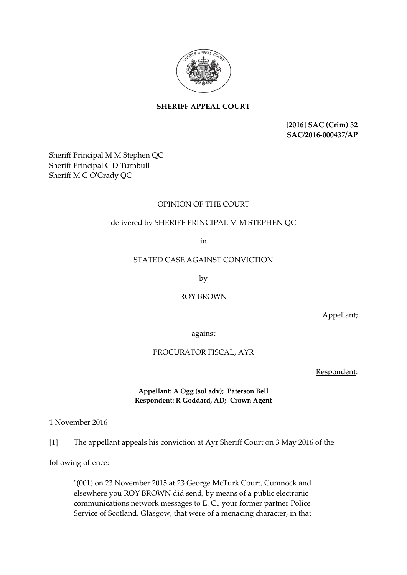

# **SHERIFF APPEAL COURT**

**[2016] SAC (Crim) 32 SAC/2016-000437/AP**

Sheriff Principal M M Stephen QC Sheriff Principal C D Turnbull Sheriff M G O'Grady QC

## OPINION OF THE COURT

## delivered by SHERIFF PRINCIPAL M M STEPHEN QC

in

### STATED CASE AGAINST CONVICTION

by

ROY BROWN

Appellant;

against

## PROCURATOR FISCAL, AYR

Respondent:

## **Appellant: A Ogg (sol adv); Paterson Bell Respondent: R Goddard, AD; Crown Agent**

## 1 November 2016

[1] The appellant appeals his conviction at Ayr Sheriff Court on 3 May 2016 of the

following offence:

"(001) on 23 November 2015 at 23 George McTurk Court, Cumnock and elsewhere you ROY BROWN did send, by means of a public electronic communications network messages to E. C., your former partner Police Service of Scotland, Glasgow, that were of a menacing character, in that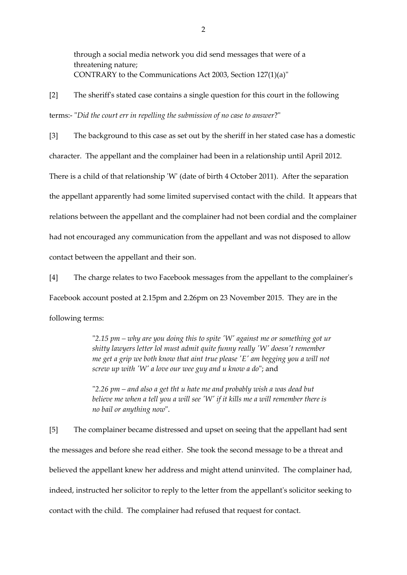through a social media network you did send messages that were of a threatening nature; CONTRARY to the Communications Act 2003, Section 127(1)(a)"

[2] The sheriff's stated case contains a single question for this court in the following terms:- "*Did the court err in repelling the submission of no case to answer*?"

[3] The background to this case as set out by the sheriff in her stated case has a domestic character. The appellant and the complainer had been in a relationship until April 2012.

There is a child of that relationship 'W' (date of birth 4 October 2011). After the separation

the appellant apparently had some limited supervised contact with the child. It appears that

relations between the appellant and the complainer had not been cordial and the complainer

had not encouraged any communication from the appellant and was not disposed to allow

contact between the appellant and their son.

[4] The charge relates to two Facebook messages from the appellant to the complainer's Facebook account posted at 2.15pm and 2.26pm on 23 November 2015. They are in the following terms:

> "*2.15 pm – why are you doing this to spite 'W' against me or something got ur shitty lawyers letter lol must admit quite funny really 'W' doesn't remember me get a grip we both know that aint true please 'E' am begging you a will not screw up with 'W' a love our wee guy and u know a do*"; and

"*2.26 pm – and also a get tht u hate me and probably wish a was dead but*  believe me when a tell you a will see 'W' if it kills me a will remember there is *no bail or anything now*".

[5] The complainer became distressed and upset on seeing that the appellant had sent the messages and before she read either. She took the second message to be a threat and believed the appellant knew her address and might attend uninvited. The complainer had, indeed, instructed her solicitor to reply to the letter from the appellant's solicitor seeking to contact with the child. The complainer had refused that request for contact.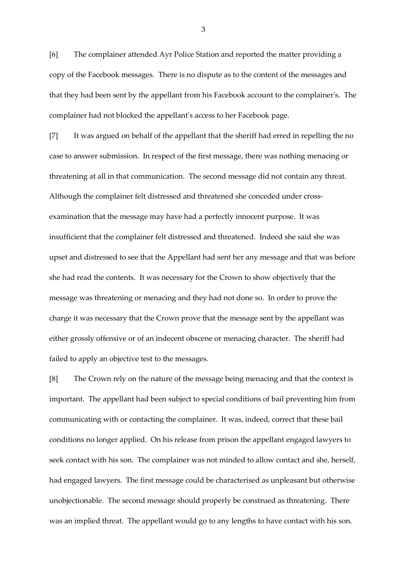[6] The complainer attended Ayr Police Station and reported the matter providing a copy of the Facebook messages. There is no dispute as to the content of the messages and that they had been sent by the appellant from his Facebook account to the complainer's. The complainer had not blocked the appellant's access to her Facebook page.

[7] It was argued on behalf of the appellant that the sheriff had erred in repelling the no case to answer submission. In respect of the first message, there was nothing menacing or threatening at all in that communication. The second message did not contain any threat. Although the complainer felt distressed and threatened she conceded under crossexamination that the message may have had a perfectly innocent purpose. It was insufficient that the complainer felt distressed and threatened. Indeed she said she was upset and distressed to see that the Appellant had sent her any message and that was before she had read the contents. It was necessary for the Crown to show objectively that the message was threatening or menacing and they had not done so. In order to prove the charge it was necessary that the Crown prove that the message sent by the appellant was either grossly offensive or of an indecent obscene or menacing character. The sheriff had failed to apply an objective test to the messages.

[8] The Crown rely on the nature of the message being menacing and that the context is important. The appellant had been subject to special conditions of bail preventing him from communicating with or contacting the complainer. It was, indeed, correct that these bail conditions no longer applied. On his release from prison the appellant engaged lawyers to seek contact with his son. The complainer was not minded to allow contact and she, herself, had engaged lawyers. The first message could be characterised as unpleasant but otherwise unobjectionable. The second message should properly be construed as threatening. There was an implied threat. The appellant would go to any lengths to have contact with his son.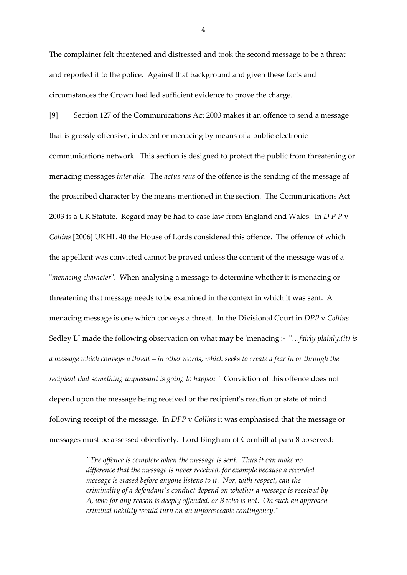The complainer felt threatened and distressed and took the second message to be a threat and reported it to the police. Against that background and given these facts and circumstances the Crown had led sufficient evidence to prove the charge.

[9] Section 127 of the Communications Act 2003 makes it an offence to send a message that is grossly offensive, indecent or menacing by means of a public electronic communications network. This section is designed to protect the public from threatening or menacing messages *inter alia.* The *actus reus* of the offence is the sending of the message of the proscribed character by the means mentioned in the section. The Communications Act 2003 is a UK Statute. Regard may be had to case law from England and Wales. In *D P P* v *Collins* [2006] UKHL 40 the House of Lords considered this offence. The offence of which the appellant was convicted cannot be proved unless the content of the message was of a "*menacing character*". When analysing a message to determine whether it is menacing or threatening that message needs to be examined in the context in which it was sent. A menacing message is one which conveys a threat. In the Divisional Court in *DPP* v *Collins* Sedley LJ made the following observation on what may be 'menacing':- "…*fairly plainly,(it) is a message which conveys a threat – in other words, which seeks to create a fear in or through the recipient that something unpleasant is going to happen.*" Conviction of this offence does not depend upon the message being received or the recipient's reaction or state of mind following receipt of the message. In *DPP* v *Collins* it was emphasised that the message or messages must be assessed objectively. Lord Bingham of Cornhill at para 8 observed:

> *"The offence is complete when the message is sent. Thus it can make no difference that the message is never received, for example because a recorded message is erased before anyone listens to it. Nor, with respect, can the criminality of a defendant's conduct depend on whether a message is received by A, who for any reason is deeply offended, or B who is not. On such an approach criminal liability would turn on an unforeseeable contingency."*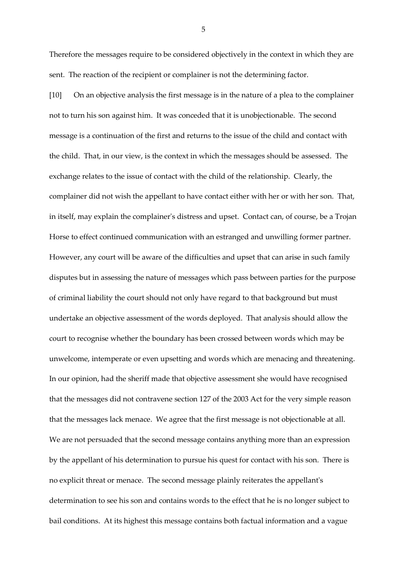Therefore the messages require to be considered objectively in the context in which they are sent. The reaction of the recipient or complainer is not the determining factor.

[10] On an objective analysis the first message is in the nature of a plea to the complainer not to turn his son against him. It was conceded that it is unobjectionable. The second message is a continuation of the first and returns to the issue of the child and contact with the child. That, in our view, is the context in which the messages should be assessed. The exchange relates to the issue of contact with the child of the relationship. Clearly, the complainer did not wish the appellant to have contact either with her or with her son. That, in itself, may explain the complainer's distress and upset. Contact can, of course, be a Trojan Horse to effect continued communication with an estranged and unwilling former partner. However, any court will be aware of the difficulties and upset that can arise in such family disputes but in assessing the nature of messages which pass between parties for the purpose of criminal liability the court should not only have regard to that background but must undertake an objective assessment of the words deployed. That analysis should allow the court to recognise whether the boundary has been crossed between words which may be unwelcome, intemperate or even upsetting and words which are menacing and threatening. In our opinion, had the sheriff made that objective assessment she would have recognised that the messages did not contravene section 127 of the 2003 Act for the very simple reason that the messages lack menace. We agree that the first message is not objectionable at all. We are not persuaded that the second message contains anything more than an expression by the appellant of his determination to pursue his quest for contact with his son. There is no explicit threat or menace. The second message plainly reiterates the appellant's determination to see his son and contains words to the effect that he is no longer subject to bail conditions. At its highest this message contains both factual information and a vague